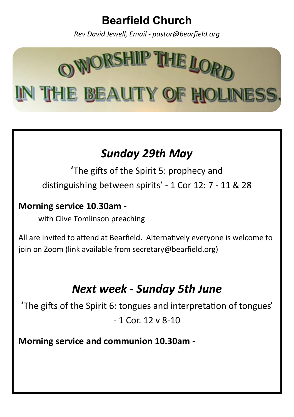## **Bearfield Church**

*Rev David Jewell, Email - pastor@bearfield.org*



# *Sunday 29th May*

'The gifts of the Spirit 5: prophecy and distinguishing between spirits' - 1 Cor 12: 7 - 11 & 28

#### **Morning service 10.30am -**

with Clive Tomlinson preaching

All are invited to attend at Bearfield. Alternatively everyone is welcome to join on Zoom (link available from secretary@bearfield.org)

# *Next week - Sunday 5th June*

'The gifts of the Spirit 6: tongues and interpretation of tongues'

 $-1$  Cor. 12 v 8-10

**Morning service and communion 10.30am -**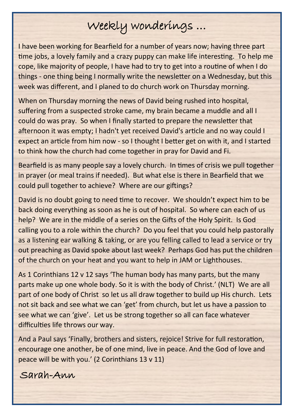# Weekly wonderings …

I have been working for Bearfield for a number of years now; having three part time jobs, a lovely family and a crazy puppy can make life interesting. To help me cope, like majority of people, I have had to try to get into a routine of when I do things - one thing being I normally write the newsletter on a Wednesday, but this week was different, and I planed to do church work on Thursday morning.

When on Thursday morning the news of David being rushed into hospital, suffering from a suspected stroke came, my brain became a muddle and all I could do was pray. So when I finally started to prepare the newsletter that afternoon it was empty; I hadn't yet received David's article and no way could I expect an article from him now - so I thought I better get on with it, and I started to think how the church had come together in pray for David and Fi.

Bearfield is as many people say a lovely church. In times of crisis we pull together in prayer (or meal trains if needed). But what else is there in Bearfield that we could pull together to achieve? Where are our giftings?

David is no doubt going to need time to recover. We shouldn't expect him to be back doing everything as soon as he is out of hospital. So where can each of us help? We are in the middle of a series on the Gifts of the Holy Spirit. Is God calling you to a role within the church? Do you feel that you could help pastorally as a listening ear walking & taking, or are you felling called to lead a service or try out preaching as David spoke about last week? Perhaps God has put the children of the church on your heat and you want to help in JAM or Lighthouses.

As 1 Corinthians 12 v 12 says 'The human body has many parts, but the many parts make up one whole body. So it is with the body of Christ.' (NLT) We are all part of one body of Christ so let us all draw together to build up His church. Lets not sit back and see what we can 'get' from church, but let us have a passion to see what we can 'give'. Let us be strong together so all can face whatever difficulties life throws our way.

And a Paul says 'Finally, brothers and sisters, rejoice! Strive for full restoration, encourage one another, be of one mind, live in peace. And the God of love and peace will be with you.' (2 Corinthians 13 v 11)

Sarah-Ann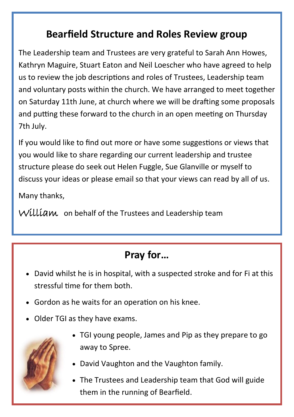## **Bearfield Structure and Roles Review group**

The Leadership team and Trustees are very grateful to Sarah Ann Howes, Kathryn Maguire, Stuart Eaton and Neil Loescher who have agreed to help us to review the job descriptions and roles of Trustees, Leadership team and voluntary posts within the church. We have arranged to meet together on Saturday 11th June, at church where we will be drafting some proposals and putting these forward to the church in an open meeting on Thursday 7th July.

If you would like to find out more or have some suggestions or views that you would like to share regarding our current leadership and trustee structure please do seek out Helen Fuggle, Sue Glanville or myself to discuss your ideas or please email so that your views can read by all of us.

Many thanks,

William on behalf of the Trustees and Leadership team

## **Pray for…**

- David whilst he is in hospital, with a suspected stroke and for Fi at this stressful time for them both.
- Gordon as he waits for an operation on his knee.
- Older TGI as they have exams.



- TGI young people, James and Pip as they prepare to go away to Spree.
- David Vaughton and the Vaughton family.
- The Trustees and Leadership team that God will guide them in the running of Bearfield.